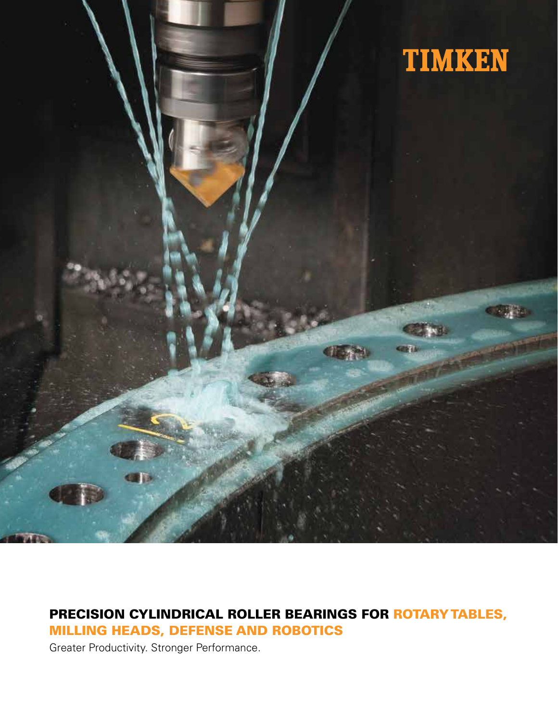

# PRECISION CYLINDRICAL ROLLER BEARINGS FOR ROTARY TABLES, MILLING HEADS, DEFENSE AND ROBOTICS

Greater Productivity. Stronger Performance.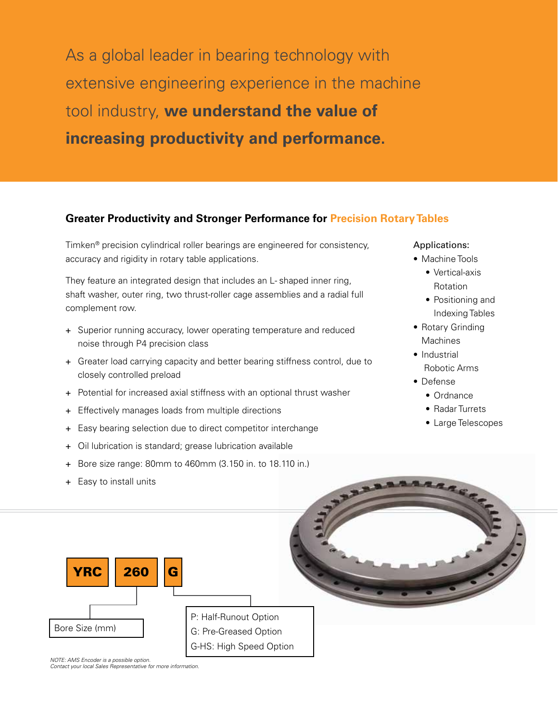As a global leader in bearing technology with extensive engineering experience in the machine tool industry, **we understand the value of increasing productivity and performance.**

## **Greater Productivity and Stronger Performance for Precision Rotary Tables**

Timken® precision cylindrical roller bearings are engineered for consistency, accuracy and rigidity in rotary table applications.

They feature an integrated design that includes an L- shaped inner ring, shaft washer, outer ring, two thrust-roller cage assemblies and a radial full complement row.

- + Superior running accuracy, lower operating temperature and reduced noise through P4 precision class
- + Greater load carrying capacity and better bearing stiffness control, due to closely controlled preload
- + Potential for increased axial stiffness with an optional thrust washer
- + Effectively manages loads from multiple directions
- + Easy bearing selection due to direct competitor interchange
- + Oil lubrication is standard; grease lubrication available
- + Bore size range: 80mm to 460mm (3.150 in. to 18.110 in.)
- Easy to install units

# YRC || 260 ||G Bore Size (mm) P: Half-Runout Option G: Pre-Greased Option G-HS: High Speed Option

*NOTE: AMS Encoder is a possible option. Contact your local Sales Representative for more information.*

#### Applications:

- Machine Tools
	- Vertical-axis Rotation
	- Positioning and Indexing Tables
- Rotary Grinding **Machines**
- Industrial Robotic Arms
- Defense
	- Ordnance
	- Radar Turrets
	- Large Telescopes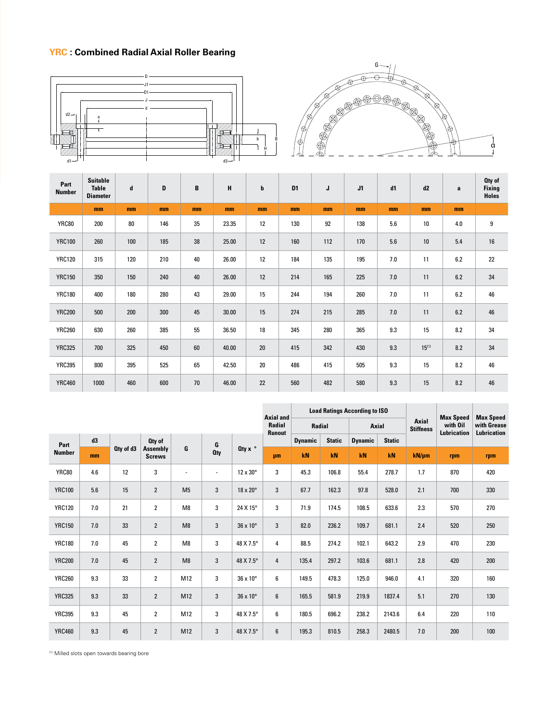# **YRC : Combined Radial Axial Roller Bearing**





| Part<br><b>Number</b> | <b>Suitable</b><br><b>Table</b><br><b>Diameter</b> | d   | D   | В  | н     | $\mathbf b$ | D <sub>1</sub> | J   | J1  | d1  | d2         | a   | Oty of<br><b>Fixing</b><br><b>Holes</b> |
|-----------------------|----------------------------------------------------|-----|-----|----|-------|-------------|----------------|-----|-----|-----|------------|-----|-----------------------------------------|
|                       | mm                                                 | mm  | mm  | mm | mm    | mm          | mm             | mm  | mm  | mm  | mm         | mm  |                                         |
| <b>YRC80</b>          | 200                                                | 80  | 146 | 35 | 23.35 | 12          | 130            | 92  | 138 | 5.6 | 10         | 4.0 | 9                                       |
| <b>YRC100</b>         | 260                                                | 100 | 185 | 38 | 25.00 | 12          | 160            | 112 | 170 | 5.6 | 10         | 5.4 | $16\,$                                  |
| <b>YRC120</b>         | 315                                                | 120 | 210 | 40 | 26.00 | 12          | 184            | 135 | 195 | 7.0 | 11         | 6.2 | 22                                      |
| <b>YRC150</b>         | 350                                                | 150 | 240 | 40 | 26.00 | 12          | 214            | 165 | 225 | 7.0 | 11         | 6.2 | 34                                      |
| <b>YRC180</b>         | 400                                                | 180 | 280 | 43 | 29.00 | 15          | 244            | 194 | 260 | 7.0 | 11         | 6.2 | 46                                      |
| <b>YRC200</b>         | 500                                                | 200 | 300 | 45 | 30.00 | 15          | 274            | 215 | 285 | 7.0 | 11         | 6.2 | 46                                      |
| <b>YRC260</b>         | 630                                                | 260 | 385 | 55 | 36.50 | 18          | 345            | 280 | 365 | 9.3 | 15         | 8.2 | 34                                      |
| <b>YRC325</b>         | 700                                                | 325 | 450 | 60 | 40.00 | 20          | 415            | 342 | 430 | 9.3 | $15^{(1)}$ | 8.2 | 34                                      |
| <b>YRC395</b>         | 800                                                | 395 | 525 | 65 | 42.50 | 20          | 486            | 415 | 505 | 9.3 | 15         | 8.2 | 46                                      |
| <b>YRC460</b>         | 1000                                               | 460 | 600 | 70 | 46.00 | 22          | 560            | 482 | 580 | 9.3 | 15         | 8.2 | 46                                      |

|               |     |           |                                     |                |                 |                        |               | <b>Load Ratings According to ISO</b><br><b>Axial and</b> |               |                |               |                           | <b>Max Speed</b>        | <b>Max Speed</b>                  |
|---------------|-----|-----------|-------------------------------------|----------------|-----------------|------------------------|---------------|----------------------------------------------------------|---------------|----------------|---------------|---------------------------|-------------------------|-----------------------------------|
|               |     |           |                                     |                |                 |                        |               | Radial                                                   |               | Axial          |               | Axial<br><b>Stiffness</b> | with Oil<br>Lubrication | with Grease<br><b>Lubrication</b> |
| Part          | d3  |           | Oty of<br>Assembly<br><b>Screws</b> | G              | G<br><b>Qty</b> | Oty $x^{\circ}$        | <b>Runout</b> | <b>Dynamic</b>                                           | <b>Static</b> | <b>Dynamic</b> | <b>Static</b> |                           |                         |                                   |
| <b>Number</b> | mm  | Oty of d3 |                                     |                |                 |                        | μm            | kN                                                       | kN            | kN             | kN            | $kN/\mu m$                | rpm                     | rpm                               |
| <b>YRC80</b>  | 4.6 | 12        | 3                                   | ٠              | ٠               | 12 x 30°               | 3             | 45.3                                                     | 106.8         | 55.4           | 278.7         | 1.7                       | 870                     | 420                               |
| <b>YRC100</b> | 5.6 | 15        | $\overline{2}$                      | M <sub>5</sub> | 3               | 18 x 20°               | 3             | 67.7                                                     | 162.3         | 97.8           | 528.0         | 2.1                       | 700                     | 330                               |
| <b>YRC120</b> | 7.0 | 21        | $\overline{2}$                      | M <sub>8</sub> | 3               | 24 X 15°               | 3             | 71.9                                                     | 174.5         | 108.5          | 633.6         | 2.3                       | 570                     | 270                               |
| <b>YRC150</b> | 7.0 | 33        | $\overline{2}$                      | M8             | 3               | $36 \times 10^{\circ}$ | 3             | 82.0                                                     | 236.2         | 109.7          | 681.1         | 2.4                       | 520                     | 250                               |
| <b>YRC180</b> | 7.0 | 45        | $\overline{2}$                      | M8             | 3               | 48 X 7.5°              | 4             | 88.5                                                     | 274.2         | 102.1          | 643.2         | 2.9                       | 470                     | 230                               |
| <b>YRC200</b> | 7.0 | 45        | $\overline{2}$                      | M8             | 3               | 48 X 7.5°              | 4             | 135.4                                                    | 297.2         | 103.6          | 681.1         | 2.8                       | 420                     | 200                               |
| <b>YRC260</b> | 9.3 | 33        | $\overline{2}$                      | M12            | 3               | 36 x 10°               | 6             | 149.5                                                    | 478.3         | 125.0          | 946.0         | 4.1                       | 320                     | 160                               |
| <b>YRC325</b> | 9.3 | 33        | $\overline{2}$                      | M12            | 3               | $36 \times 10^{\circ}$ | 6             | 165.5                                                    | 581.9         | 219.9          | 1837.4        | 5.1                       | 270                     | 130                               |
| <b>YRC395</b> | 9.3 | 45        | $\overline{2}$                      | M12            | 3               | 48 X 7.5°              | 6             | 180.5                                                    | 696.2         | 238.2          | 2143.6        | 6.4                       | 220                     | 110                               |
| <b>YRC460</b> | 9.3 | 45        | $\overline{2}$                      | M12            | 3               | 48 X 7.5°              | 6             | 195.3                                                    | 810.5         | 258.3          | 2480.5        | 7.0                       | 200                     | 100                               |

(1) Milled slots open towards bearing bore